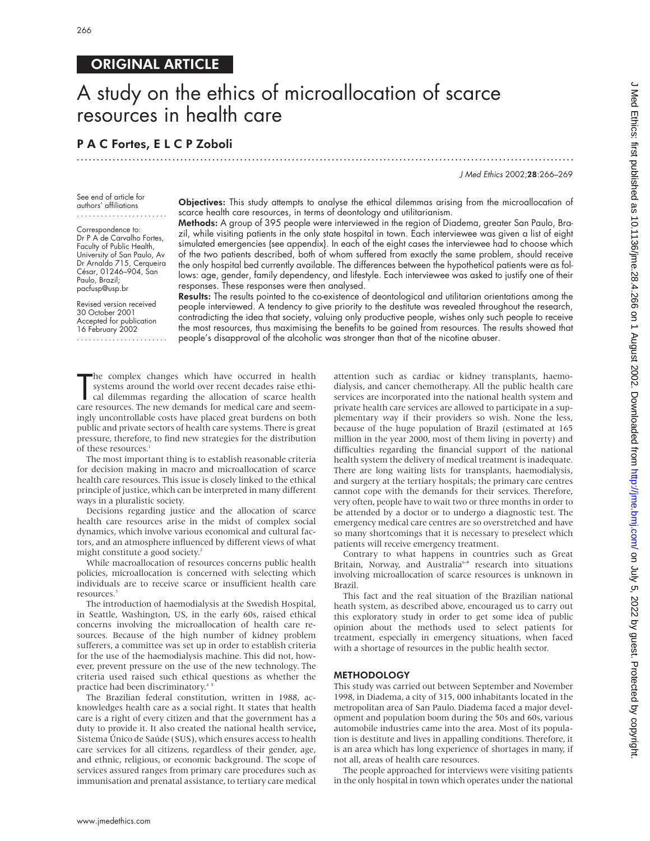# ORIGINAL ARTICLE

# A study on the ethics of microallocation of scarce resources in health care

.............................................................................................................................

# P A C Fortes, E L C P Zoboli

J Med Ethics 2002;28:266–269

See end of article for authors' affiliations

Correspondence to: Dr P A de Carvalho Fortes, Faculty of Public Health, University of San Paulo, Av Dr Arnaldo 715, Cerqueira César, 01246–904, San Paulo, Brazil; pacfusp@usp.br

.......................

Revised version received 30 October 2001 Accepted for publication 16 February 2002 .......................

Objectives: This study attempts to analyse the ethical dilemmas arising from the microallocation of scarce health care resources, in terms of deontology and utilitarianism.

Methods: A group of 395 people were interviewed in the region of Diadema, greater San Paulo, Brazil, while visiting patients in the only state hospital in town. Each interviewee was given a list of eight simulated emergencies (see appendix). In each of the eight cases the interviewee had to choose which of the two patients described, both of whom suffered from exactly the same problem, should receive the only hospital bed currently available. The differences between the hypothetical patients were as follows: age, gender, family dependency, and lifestyle. Each interviewee was asked to justify one of their responses. These responses were then analysed.

Results: The results pointed to the co-existence of deontological and utilitarian orientations among the people interviewed. A tendency to give priority to the destitute was revealed throughout the research, contradicting the idea that society, valuing only productive people, wishes only such people to receive the most resources, thus maximising the benefits to be gained from resources. The results showed that people's disapproval of the alcoholic was stronger than that of the nicotine abuser.

The complex changes which have occurred in health<br>systems around the world over recent decades raise ethi-<br>cal dilemmas regarding the allocation of scarce health<br>care resources. The new demands for medical care and seemhe complex changes which have occurred in health systems around the world over recent decades raise ethical dilemmas regarding the allocation of scarce health ingly uncontrollable costs have placed great burdens on both public and private sectors of health care systems. There is great pressure, therefore, to find new strategies for the distribution of these resources.<sup>1</sup>

The most important thing is to establish reasonable criteria for decision making in macro and microallocation of scarce health care resources. This issue is closely linked to the ethical principle of justice, which can be interpreted in many different ways in a pluralistic society.

Decisions regarding justice and the allocation of scarce health care resources arise in the midst of complex social dynamics, which involve various economical and cultural factors, and an atmosphere influenced by different views of what might constitute a good society.<sup>2</sup>

While macroallocation of resources concerns public health policies, microallocation is concerned with selecting which individuals are to receive scarce or insufficient health care resources.<sup>3</sup>

The introduction of haemodialysis at the Swedish Hospital, in Seattle, Washington, US, in the early 60s, raised ethical concerns involving the microallocation of health care resources. Because of the high number of kidney problem sufferers, a committee was set up in order to establish criteria for the use of the haemodialysis machine. This did not, however, prevent pressure on the use of the new technology. The criteria used raised such ethical questions as whether the practice had been discriminatory.<sup>45</sup>

The Brazilian federal constitution, written in 1988, acknowledges health care as a social right. It states that health care is a right of every citizen and that the government has a duty to provide it. It also created the national health service**,** Sistema Único de Saúde (SUS), which ensures access to health care services for all citizens, regardless of their gender, age, and ethnic, religious, or economic background. The scope of services assured ranges from primary care procedures such as immunisation and prenatal assistance, to tertiary care medical

attention such as cardiac or kidney transplants, haemodialysis, and cancer chemotherapy. All the public health care services are incorporated into the national health system and private health care services are allowed to participate in a supplementary way if their providers so wish. None the less, because of the huge population of Brazil (estimated at 165 million in the year 2000, most of them living in poverty) and difficulties regarding the financial support of the national health system the delivery of medical treatment is inadequate. There are long waiting lists for transplants, haemodialysis, and surgery at the tertiary hospitals; the primary care centres cannot cope with the demands for their services. Therefore, very often, people have to wait two or three months in order to be attended by a doctor or to undergo a diagnostic test. The emergency medical care centres are so overstretched and have so many shortcomings that it is necessary to preselect which patients will receive emergency treatment.

Contrary to what happens in countries such as Great Britain, Norway, and Australia<sup>6-8</sup> research into situations involving microallocation of scarce resources is unknown in Brazil.

This fact and the real situation of the Brazilian national heath system, as described above, encouraged us to carry out this exploratory study in order to get some idea of public opinion about the methods used to select patients for treatment, especially in emergency situations, when faced with a shortage of resources in the public health sector.

#### METHODOLOGY

This study was carried out between September and November 1998, in Diadema, a city of 315, 000 inhabitants located in the metropolitan area of San Paulo. Diadema faced a major development and population boom during the 50s and 60s, various automobile industries came into the area. Most of its population is destitute and lives in appalling conditions. Therefore, it is an area which has long experience of shortages in many, if not all, areas of health care resources.

The people approached for interviews were visiting patients in the only hospital in town which operates under the national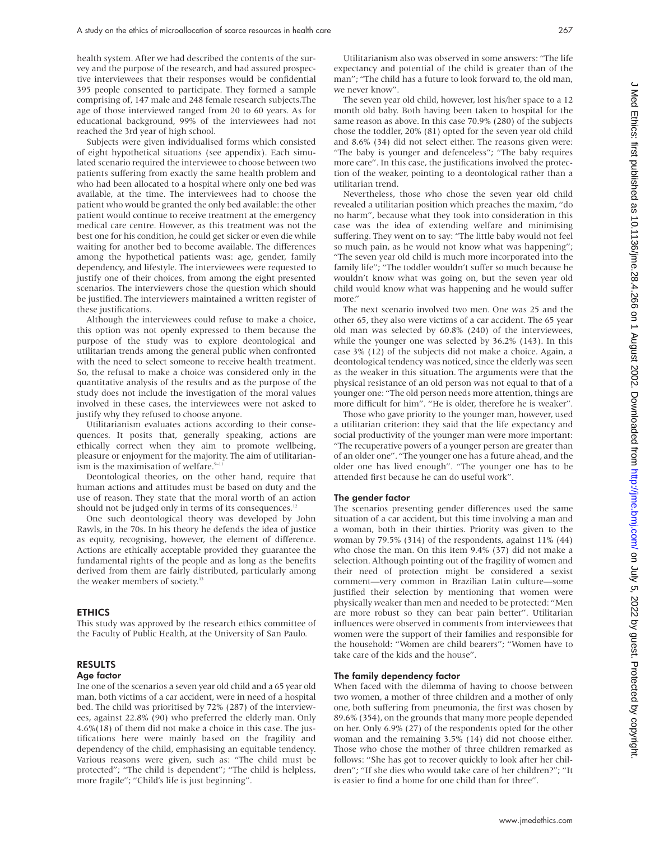health system. After we had described the contents of the survey and the purpose of the research, and had assured prospective interviewees that their responses would be confidential 395 people consented to participate. They formed a sample comprising of, 147 male and 248 female research subjects.The age of those interviewed ranged from 20 to 60 years. As for educational background, 99% of the interviewees had not reached the 3rd year of high school.

Subjects were given individualised forms which consisted of eight hypothetical situations (see appendix). Each simulated scenario required the interviewee to choose between two patients suffering from exactly the same health problem and who had been allocated to a hospital where only one bed was available, at the time. The interviewees had to choose the patient who would be granted the only bed available: the other patient would continue to receive treatment at the emergency medical care centre. However, as this treatment was not the best one for his condition, he could get sicker or even die while waiting for another bed to become available. The differences among the hypothetical patients was: age, gender, family dependency, and lifestyle. The interviewees were requested to justify one of their choices, from among the eight presented scenarios. The interviewers chose the question which should be justified. The interviewers maintained a written register of these justifications.

Although the interviewees could refuse to make a choice, this option was not openly expressed to them because the purpose of the study was to explore deontological and utilitarian trends among the general public when confronted with the need to select someone to receive health treatment. So, the refusal to make a choice was considered only in the quantitative analysis of the results and as the purpose of the study does not include the investigation of the moral values involved in these cases, the interviewees were not asked to justify why they refused to choose anyone.

Utilitarianism evaluates actions according to their consequences. It posits that, generally speaking, actions are ethically correct when they aim to promote wellbeing, pleasure or enjoyment for the majority. The aim of utilitarianism is the maximisation of welfare. $9-11$ 

Deontological theories, on the other hand, require that human actions and attitudes must be based on duty and the use of reason. They state that the moral worth of an action should not be judged only in terms of its consequences.<sup>12</sup>

One such deontological theory was developed by John Rawls, in the 70s. In his theory he defends the idea of justice as equity, recognising, however, the element of difference. Actions are ethically acceptable provided they guarantee the fundamental rights of the people and as long as the benefits derived from them are fairly distributed, particularly among the weaker members of society.<sup>13</sup>

### ETHICS

This study was approved by the research ethics committee of the Faculty of Public Health, at the University of San Paulo.

#### RESULTS Age factor

Ine one of the scenarios a seven year old child and a 65 year old man, both victims of a car accident, were in need of a hospital bed. The child was prioritised by 72% (287) of the interviewees, against 22.8% (90) who preferred the elderly man. Only 4.6%(18) of them did not make a choice in this case. The justifications here were mainly based on the fragility and dependency of the child, emphasising an equitable tendency. Various reasons were given, such as: "The child must be protected"; "The child is dependent"; "The child is helpless, more fragile"; "Child's life is just beginning".

Utilitarianism also was observed in some answers: "The life expectancy and potential of the child is greater than of the man"; "The child has a future to look forward to, the old man, we never know".

The seven year old child, however, lost his/her space to a 12 month old baby. Both having been taken to hospital for the same reason as above. In this case 70.9% (280) of the subjects chose the toddler, 20% (81) opted for the seven year old child and 8.6% (34) did not select either. The reasons given were: "The baby is younger and defenceless"; "The baby requires more care". In this case, the justifications involved the protection of the weaker, pointing to a deontological rather than a utilitarian trend.

Nevertheless, those who chose the seven year old child revealed a utilitarian position which preaches the maxim, "do no harm", because what they took into consideration in this case was the idea of extending welfare and minimising suffering. They went on to say: "The little baby would not feel so much pain, as he would not know what was happening"; "The seven year old child is much more incorporated into the family life"; "The toddler wouldn't suffer so much because he wouldn't know what was going on, but the seven year old child would know what was happening and he would suffer more."

The next scenario involved two men. One was 25 and the other 65, they also were victims of a car accident. The 65 year old man was selected by 60.8% (240) of the interviewees, while the younger one was selected by 36.2% (143). In this case 3% (12) of the subjects did not make a choice. Again, a deontological tendency was noticed, since the elderly was seen as the weaker in this situation. The arguments were that the physical resistance of an old person was not equal to that of a younger one: "The old person needs more attention, things are more difficult for him". "He is older, therefore he is weaker".

Those who gave priority to the younger man, however, used a utilitarian criterion: they said that the life expectancy and social productivity of the younger man were more important: "The recuperative powers of a younger person are greater than of an older one". "The younger one has a future ahead, and the older one has lived enough". "The younger one has to be attended first because he can do useful work".

#### The gender factor

The scenarios presenting gender differences used the same situation of a car accident, but this time involving a man and a woman, both in their thirties. Priority was given to the woman by 79.5% (314) of the respondents, against 11% (44) who chose the man. On this item 9.4% (37) did not make a selection. Although pointing out of the fragility of women and their need of protection might be considered a sexist comment—very common in Brazilian Latin culture—some justified their selection by mentioning that women were physically weaker than men and needed to be protected: "Men are more robust so they can bear pain better". Utilitarian influences were observed in comments from interviewees that women were the support of their families and responsible for the household: "Women are child bearers"; "Women have to take care of the kids and the house".

#### The family dependency factor

When faced with the dilemma of having to choose between two women, a mother of three children and a mother of only one, both suffering from pneumonia, the first was chosen by 89.6% (354), on the grounds that many more people depended on her. Only 6.9% (27) of the respondents opted for the other woman and the remaining 3.5% (14) did not choose either. Those who chose the mother of three children remarked as follows: "She has got to recover quickly to look after her children"; "If she dies who would take care of her children?"; "It is easier to find a home for one child than for three".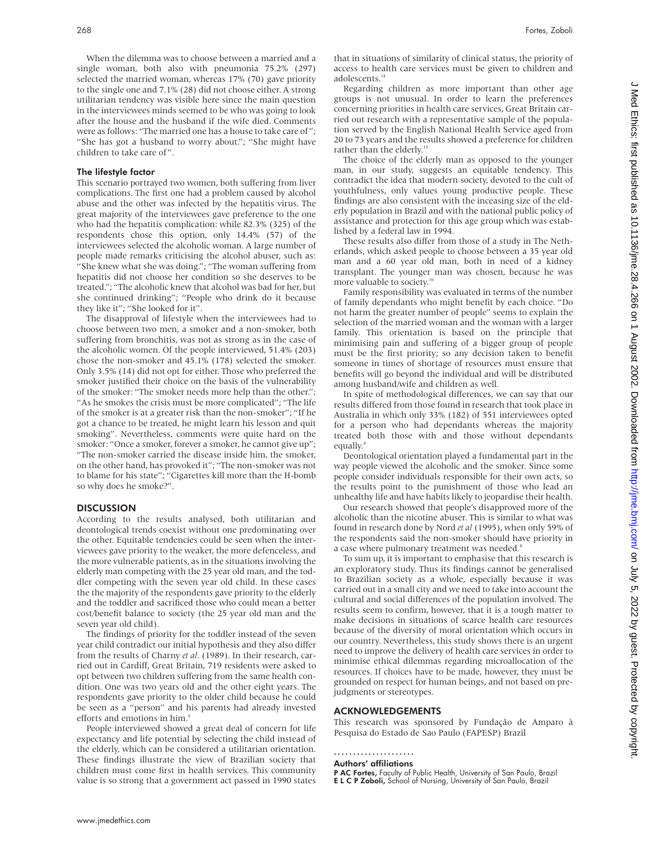When the dilemma was to choose between a married and a single woman, both also with pneumonia 75.2% (297) selected the married woman, whereas 17% (70) gave priority to the single one and 7.1% (28) did not choose either. A strong utilitarian tendency was visible here since the main question in the interviewees minds seemed to be who was going to look after the house and the husband if the wife died. Comments were as follows: "The married one has a house to take care of"; "She has got a husband to worry about."; "She might have children to take care of".

#### The lifestyle factor

This scenario portrayed two women, both suffering from liver complications. The first one had a problem caused by alcohol abuse and the other was infected by the hepatitis virus. The great majority of the interviewees gave preference to the one who had the hepatitis complication: while 82.3% (325) of the respondents chose this option, only 14.4% (57) of the interviewees selected the alcoholic woman. A large number of people made remarks criticising the alcohol abuser, such as: "She knew what she was doing."; "The woman suffering from hepatitis did not choose her condition so she deserves to be treated."; "The alcoholic knew that alcohol was bad for her, but she continued drinking"; "People who drink do it because they like it"; "She looked for it".

The disapproval of lifestyle when the interviewees had to choose between two men, a smoker and a non-smoker, both suffering from bronchitis, was not as strong as in the case of the alcoholic women. Of the people interviewed, 51.4% (203) chose the non-smoker and 45.1% (178) selected the smoker. Only 3.5% (14) did not opt for either. Those who preferred the smoker justified their choice on the basis of the vulnerability of the smoker: "The smoker needs more help than the other."; "As he smokes the crisis must be more complicated"; "The life of the smoker is at a greater risk than the non-smoker"; "If he got a chance to be treated, he might learn his lesson and quit smoking". Nevertheless, comments were quite hard on the smoker: "Once a smoker, forever a smoker, he cannot give up"; "The non-smoker carried the disease inside him, the smoker, on the other hand, has provoked it"; "The non-smoker was not to blame for his state"; "Cigarettes kill more than the H-bomb so why does he smoke?".

#### **DISCUSSION**

According to the results analysed, both utilitarian and deontological trends coexist without one predominating over the other. Equitable tendencies could be seen when the interviewees gave priority to the weaker, the more defenceless, and the more vulnerable patients, as in the situations involving the elderly man competing with the 25 year old man, and the toddler competing with the seven year old child. In these cases the the majority of the respondents gave priority to the elderly and the toddler and sacrificed those who could mean a better cost/benefit balance to society (the 25 year old man and the seven year old child).

The findings of priority for the toddler instead of the seven year child contradict our initial hypothesis and they also differ from the results of Charny *et al*. (1989). In their research, carried out in Cardiff, Great Britain, 719 residents were asked to opt between two children suffering from the same health condition. One was two years old and the other eight years. The respondents gave priority to the older child because he could be seen as a "person" and his parents had already invested efforts and emotions in him.<sup>6</sup>

People interviewed showed a great deal of concern for life expectancy and life potential by selecting the child instead of the elderly, which can be considered a utilitarian orientation. These findings illustrate the view of Brazilian society that children must come first in health services. This community value is so strong that a government act passed in 1990 states

that in situations of similarity of clinical status, the priority of access to health care services must be given to children and adolescents. $<sup>1</sup>$ </sup>

Regarding children as more important than other age groups is not unusual. In order to learn the preferences concerning priorities in health care services, Great Britain carried out research with a representative sample of the population served by the English National Health Service aged from 20 to 73 years and the results showed a preference for children rather than the elderly.<sup>15</sup>

The choice of the elderly man as opposed to the younger man, in our study, suggests an equitable tendency. This contradict the idea that modern society, devoted to the cult of youthfulness, only values young productive people. These findings are also consistent with the inceasing size of the elderly population in Brazil and with the national public policy of assistance and protection for this age group which was established by a federal law in 1994.

These results also differ from those of a study in The Netherlands, which asked people to choose between a 35 year old man and a 60 year old man, both in need of a kidney transplant. The younger man was chosen, because he was more valuable to society.<sup>16</sup>

Family responsibility was evaluated in terms of the number of family dependants who might benefit by each choice. "Do not harm the greater number of people" seems to explain the selection of the married woman and the woman with a larger family. This orientation is based on the principle that minimising pain and suffering of a bigger group of people must be the first priority; so any decision taken to benefit someone in times of shortage of resources must ensure that benefits will go beyond the individual and will be distributed among husband/wife and children as well.

In spite of methodological differences, we can say that our results differed from those found in research that took place in Australia in which only 33% (182) of 551 interviewees opted for a person who had dependants whereas the majority treated both those with and those without dependants equally.<sup>8</sup>

Deontological orientation played a fundamental part in the way people viewed the alcoholic and the smoker. Since some people consider individuals responsible for their own acts, so the results point to the punishment of those who lead an unhealthy life and have habits likely to jeopardise their health.

Our research showed that people's disapproved more of the alcoholic than the nicotine abuser. This is similar to what was found in research done by Nord *et al* (1995), when only 59% of the respondents said the non-smoker should have priority in a case where pulmonary treatment was needed.<sup>8</sup>

To sum up, it is important to emphasise that this research is an exploratory study. Thus its findings cannot be generalised to Brazilian society as a whole, especially because it was carried out in a small city and we need to take into account the cultural and social differences of the population involved. The results seem to confirm, however, that it is a tough matter to make decisions in situations of scarce health care resources because of the diversity of moral orientation which occurs in our country. Nevertheless, this study shows there is an urgent need to improve the delivery of health care services in order to minimise ethical dilemmas regarding microallocation of the resources. If choices have to be made, however, they must be grounded on respect for human beings, and not based on prejudgments or stereotypes.

#### ACKNOWLEDGEMENTS

This research was sponsored by Fundação de Amparo à Pesquisa do Estado de Sao Paulo (FAPESP) Brazil

## .....................

Authors' affiliations

P AC Fortes, Faculty of Public Health, University of San Paulo, Brazil ELCP Zoboli, School of Nursing, University of San Paulo, Brazil